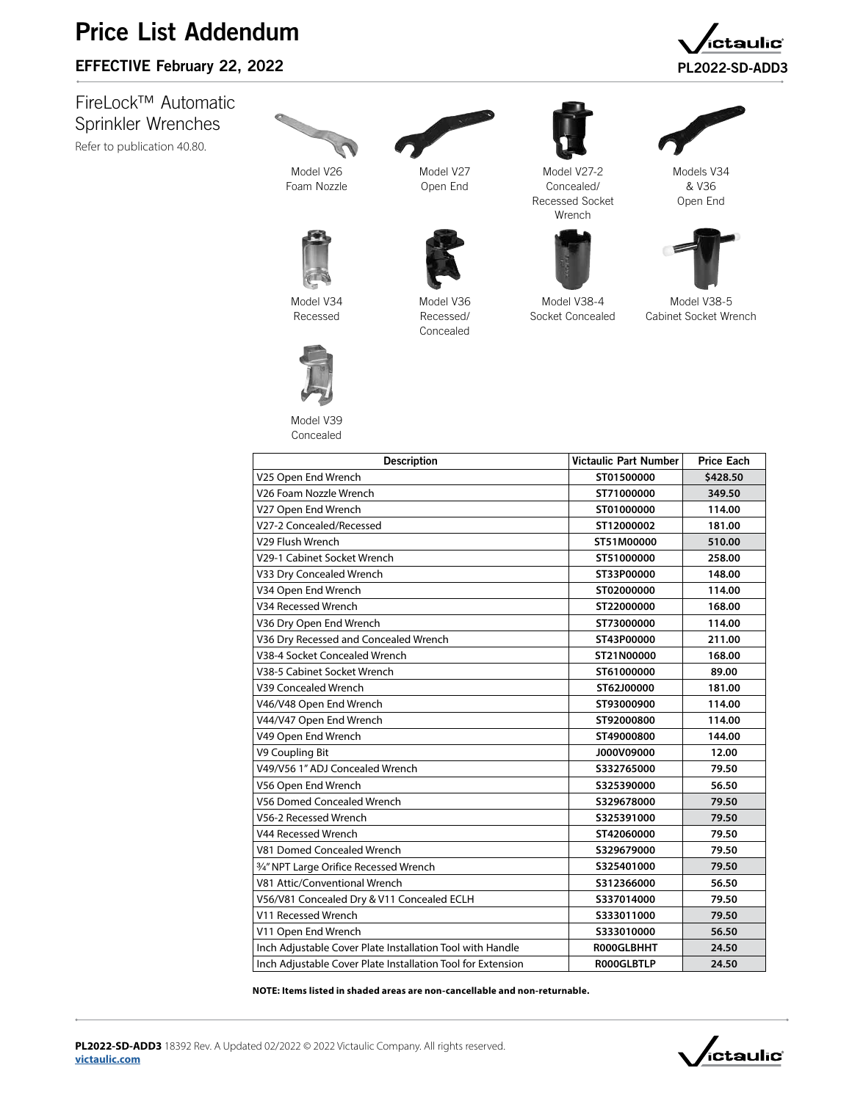## Price List Addendum

## EFFECTIVE February 22, 2022 **PL2022-SD-ADD3**

FireLock™ Automatic Sprinkler Wrenches [Refer to publication 40.80.](http://www.victaulic.com/assets/uploads/literature/40.80.pdf)



Foam Nozzle

Model V27 Open End

Model V36 Recessed/ Concealed



Model V27-2 Concealed/ Recessed Socket Wrench

Model V38-4 Socket Concealed



Models V34



Model V38-5 Cabinet Socket Wrench



Model V34 Recessed



Model V39 Concealed

| <b>Description</b>                                          | <b>Victaulic Part Number</b> | <b>Price Each</b> |
|-------------------------------------------------------------|------------------------------|-------------------|
| V25 Open End Wrench                                         | ST01500000                   | \$428.50          |
| V26 Foam Nozzle Wrench                                      | ST71000000                   | 349.50            |
| V27 Open End Wrench                                         | ST01000000                   | 114.00            |
| V27-2 Concealed/Recessed                                    | ST12000002                   | 181.00            |
| V29 Flush Wrench                                            | ST51M00000                   | 510.00            |
| V29-1 Cabinet Socket Wrench                                 | ST51000000                   | 258.00            |
| V33 Dry Concealed Wrench                                    | ST33P00000                   | 148.00            |
| V34 Open End Wrench                                         | ST02000000                   | 114.00            |
| V34 Recessed Wrench                                         | ST22000000                   | 168.00            |
| V36 Dry Open End Wrench                                     | ST73000000                   | 114.00            |
| V36 Dry Recessed and Concealed Wrench                       | ST43P00000                   | 211.00            |
| V38-4 Socket Concealed Wrench                               | ST21N00000                   | 168.00            |
| V38-5 Cabinet Socket Wrench                                 | ST61000000                   | 89.00             |
| V39 Concealed Wrench                                        | ST62J00000                   | 181.00            |
| V46/V48 Open End Wrench                                     | ST93000900                   | 114.00            |
| V44/V47 Open End Wrench                                     | ST92000800                   | 114.00            |
| V49 Open End Wrench                                         | ST49000800                   | 144.00            |
| V9 Coupling Bit                                             | J000V09000                   | 12.00             |
| V49/V56 1" ADJ Concealed Wrench                             | \$332765000                  | 79.50             |
| V56 Open End Wrench                                         | \$325390000                  | 56.50             |
| V56 Domed Concealed Wrench                                  | S329678000                   | 79.50             |
| V56-2 Recessed Wrench                                       | S325391000                   | 79.50             |
| V44 Recessed Wrench                                         | ST42060000                   | 79.50             |
| V81 Domed Concealed Wrench                                  | S329679000                   | 79.50             |
| 3/4" NPT Large Orifice Recessed Wrench                      | \$325401000                  | 79.50             |
| V81 Attic/Conventional Wrench                               | S312366000                   | 56.50             |
| V56/V81 Concealed Dry & V11 Concealed ECLH                  | S337014000                   | 79.50             |
| V11 Recessed Wrench                                         | S333011000                   | 79.50             |
| V11 Open End Wrench                                         | S333010000                   | 56.50             |
| Inch Adjustable Cover Plate Installation Tool with Handle   | R000GLBHHT                   | 24.50             |
| Inch Adjustable Cover Plate Installation Tool for Extension | <b>ROOOGLBTLP</b>            | 24.50             |

**NOTE: Items listed in shaded areas are non-cancellable and non-returnable.**





aulic°,

& V36 Open End